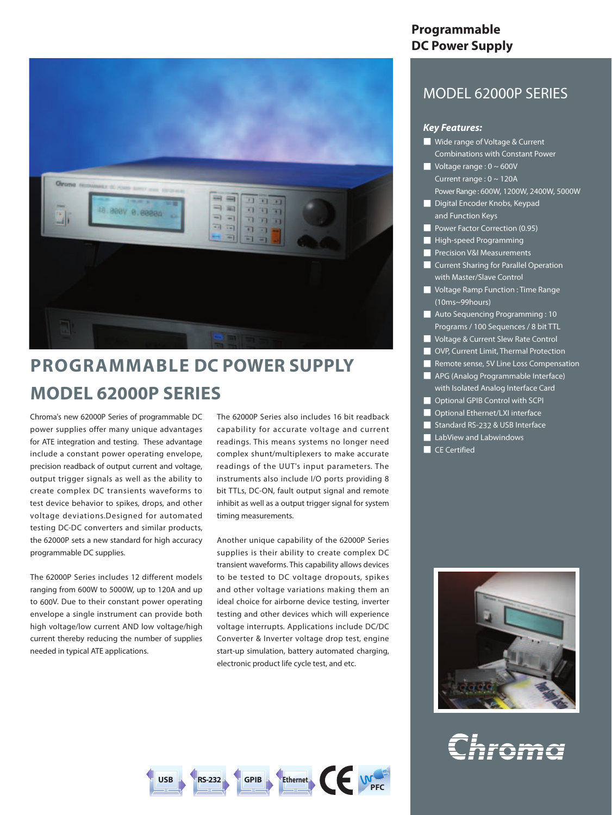

# **PROGRAMMABLE DC POWER SUPPLY MODEL 62000P SERIES**

Chroma's new 62000P Series of programmable DC power supplies offer many unique advantages for ATE integration and testing. These advantage include a constant power operating envelope, precision readback of output current and voltage, output trigger signals as well as the ability to create complex DC transients waveforms to test device behavior to spikes, drops, and other voltage deviations.Designed for automated testing DC-DC converters and similar products, the 62000P sets a new standard for high accuracy programmable DC supplies.

The 62000P Series includes 12 different models ranging from 600W to 5000W, up to 120A and up to 600V. Due to their constant power operating envelope a single instrument can provide both high voltage/low current AND low voltage/high current thereby reducing the number of supplies needed in typical ATE applications.

The 62000P Series also includes 16 bit readback capability for accurate voltage and current readings. This means systems no longer need complex shunt/multiplexers to make accurate readings of the UUT's input parameters. The instruments also include I/O ports providing 8 bit TTLs, DC-ON, fault output signal and remote inhibit as well as a output trigger signal for system timing measurements.

Another unique capability of the 62000P Series supplies is their ability to create complex DC transient waveforms. This capability allows devices to be tested to DC voltage dropouts, spikes and other voltage variations making them an ideal choice for airborne device testing, inverter testing and other devices which will experience voltage interrupts. Applications include DC/DC Converter & Inverter voltage drop test, engine start-up simulation, battery automated charging, electronic product life cycle test, and etc.



# **Programmable DC Power Supply**

# MODEL 62000P SERIES

#### *Key Features:*

- Wide range of Voltage & Current Combinations with Constant Power
- $\blacksquare$  Voltage range : 0 ~ 600V Current range : 0 ~ 120A PowerRange: 600W, 1200W, 2400W, 5000W
- Digital Encoder Knobs, Keypad and Function Keys
- Power Factor Correction (0.95)
- High-speed Programming
- **P** Precision V&I Measurements
- Current Sharing for Parallel Operation with Master/Slave Control
- Voltage Ramp Function : Time Range (10ms~99hours)
- Auto Sequencing Programming : 10 Programs / 100 Sequences / 8 bit TTL
- Voltage & Current Slew Rate Control
- OVP, Current Limit, Thermal Protection
- Remote sense, 5V Line Loss Compensation
- APG (Analog Programmable Interface) with Isolated Analog Interface Card
- Optional GPIB Control with SCPI
- **Detional Ethernet/LXI interface**
- Standard RS-232 & USB Interface
- LabView and Labwindows
- CE Certified



Chroma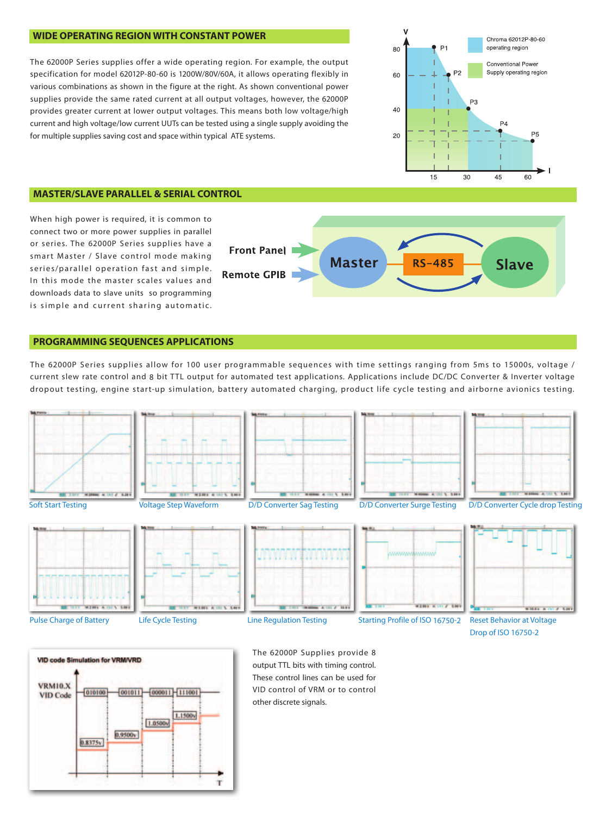## **WIDE OPERATING REGION WITH CONSTANT POWER**

The 62000P Series supplies offer a wide operating region. For example, the output specification for model 62012P-80-60 is 1200W/80V/60A, it allows operating flexibly in various combinations as shown in the figure at the right. As shown conventional power supplies provide the same rated current at all output voltages, however, the 62000P provides greater current at lower output voltages. This means both low voltage/high current and high voltage/low current UUTs can be tested using a single supply avoiding the for multiple supplies saving cost and space within typical ATE systems.



#### **MASTER/SLAVE PARALLEL & SERIAL CONTROL**

When high power is required, it is common to connect two or more power supplies in parallel or series. The 62000P Series supplies have a smart Master / Slave control mode making series/parallel operation fast and simple. In this mode the master scales values and downloads data to slave units so programming is simple and current sharing automatic.



## **PROGRAMMING SEQUENCES APPLICATIONS**

The 62000P Series supplies allow for 100 user programmable sequences with time settings ranging from 5ms to 15000s, voltage / current slew rate control and 8 bit TTL output for automated test applications. Applications include DC/DC Converter & Inverter voltage dropout testing, engine start-up simulation, battery automated charging, product life cycle testing and airborne avionics testing.





The 62000P Supplies provide 8 output TTL bits with timing control. These control lines can be used for VID control of VRM or to control other discrete signals.

Drop of ISO 16750-2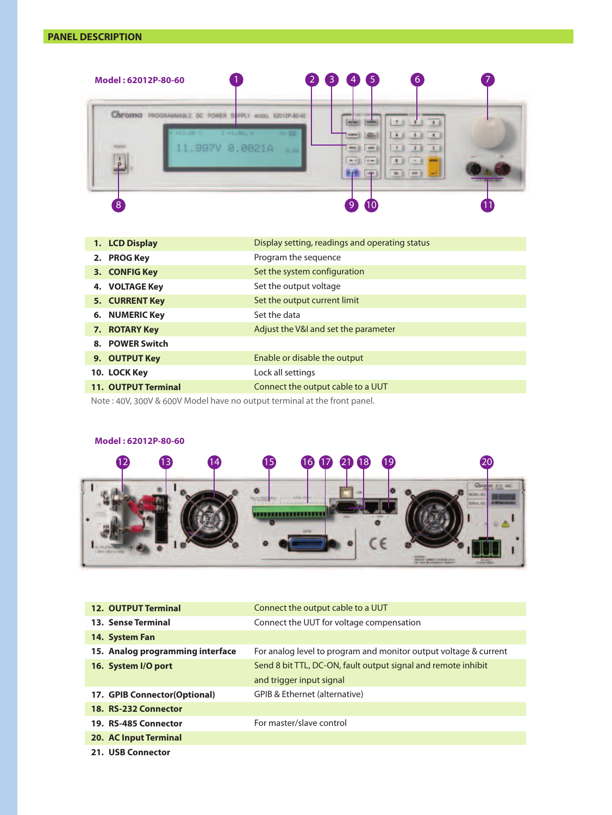# **PANEL DESCRIPTION**



| Display setting, readings and operating status                                                                                                                                                                 |
|----------------------------------------------------------------------------------------------------------------------------------------------------------------------------------------------------------------|
| Program the sequence                                                                                                                                                                                           |
| Set the system configuration                                                                                                                                                                                   |
| Set the output voltage                                                                                                                                                                                         |
| Set the output current limit                                                                                                                                                                                   |
| Set the data                                                                                                                                                                                                   |
| Adjust the V&I and set the parameter                                                                                                                                                                           |
|                                                                                                                                                                                                                |
| Enable or disable the output                                                                                                                                                                                   |
| Lock all settings                                                                                                                                                                                              |
| Connect the output cable to a UUT                                                                                                                                                                              |
| 1. LCD Display<br>2. PROG Key<br>3. CONFIG Key<br>4. VOLTAGE Key<br>5. CURRENT Key<br><b>6. NUMERIC Key</b><br>7. ROTARY Key<br>8. POWER Switch<br>9. OUTPUT Key<br>10. LOCK Key<br><b>11. OUTPUT Terminal</b> |

Note : 40V, 300V & 600V Model have no output terminal at the front panel.

# **Model : 62012P-80-60** 21  $12$   $13$   $14$   $15$   $16$   $12$   $21$   $18$   $19$   $20$   $20$   $21$  $O_{\text{RF}}$ ATE INC ė. ,,,,,,,,,,,,,,,,,,,, C€ ı **THING SAMPLE FRAMES**

| <b>12. OUTPUT Terminal</b>       | Connect the output cable to a UUT                                |
|----------------------------------|------------------------------------------------------------------|
| <b>13. Sense Terminal</b>        | Connect the UUT for voltage compensation                         |
| 14. System Fan                   |                                                                  |
| 15. Analog programming interface | For analog level to program and monitor output voltage & current |
| 16. System I/O port              | Send 8 bit TTL, DC-ON, fault output signal and remote inhibit    |
|                                  | and trigger input signal                                         |
| 17. GPIB Connector (Optional)    | GPIB & Ethernet (alternative)                                    |
| 18. RS-232 Connector             |                                                                  |
| 19. RS-485 Connector             | For master/slave control                                         |
| <b>20. AC Input Terminal</b>     |                                                                  |
| 21. USB Connector                |                                                                  |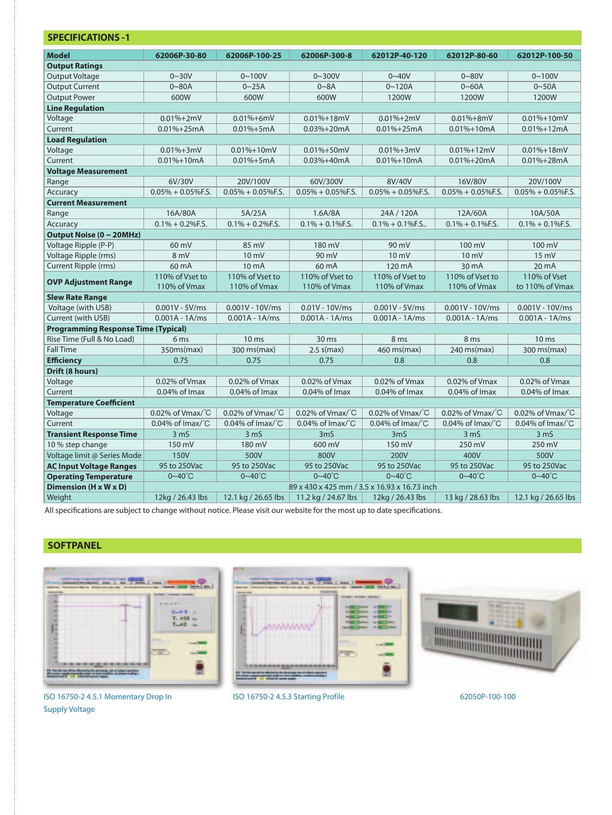| <b>Model</b>                               | 62006P-30-80                                 | 62006P-100-25                 | 62006P-300-8                  | 62012P-40-120                 | 62012P-80-60                  | 62012P-100-50                 |
|--------------------------------------------|----------------------------------------------|-------------------------------|-------------------------------|-------------------------------|-------------------------------|-------------------------------|
| <b>Output Ratings</b>                      |                                              |                               |                               |                               |                               |                               |
| <b>Output Voltage</b>                      | $0 - 30V$                                    | $0 - 100V$                    | $0 - 300V$                    | $0 - 40V$                     | $0 - 80V$                     | $0 - 100V$                    |
| <b>Output Current</b>                      | $0 - 80A$                                    | $0 - 25A$                     | $0 - 8A$                      | $0 - 120A$                    | $0 - 60A$                     | $0 - 50A$                     |
| <b>Output Power</b>                        | 600W                                         | 600W                          | 600W                          | 1200W                         | 1200W                         | 1200W                         |
| <b>Line Regulation</b>                     |                                              |                               |                               |                               |                               |                               |
| Voltage                                    | $0.01% + 2mV$                                | $0.01% + 6mV$                 | $0.01% + 18mV$                | $0.01% + 2mV$                 | $0.01\% + 8mV$                | $0.01\% + 10mV$               |
| Current                                    | $0.01% + 25mA$                               | $0.01% + 5mA$                 | $0.03% + 20mA$                | $0.01% + 25mA$                | $0.01% + 10mA$                | $0.01% + 12mA$                |
| <b>Load Regulation</b>                     |                                              |                               |                               |                               |                               |                               |
| Voltage                                    | $0.01% + 3mV$                                | $0.01\% + 10mV$               | $0.01\% + 50mV$               | $0.01% + 3mV$                 | $0.01% + 12mV$                | $0.01% + 18mV$                |
| Current                                    | $0.01% + 10mA$                               | $0.01% + 5mA$                 | $0.03% + 40mA$                | $0.01% + 10mA$                | $0.01% + 20mA$                | $0.01% + 28mA$                |
| <b>Voltage Measurement</b>                 |                                              |                               |                               |                               |                               |                               |
| Range                                      | 6V/30V                                       | 20V/100V                      | 60V/300V                      | 8V/40V                        | 16V/80V                       | 20V/100V                      |
| Accuracy                                   | $0.05\% + 0.05\%$ F.S.                       | $0.05\% + 0.05\%$ F.S.        | $0.05\% + 0.05\%$ F.S.        | $0.05\% + 0.05\%$ F.S.        | $0.05\% + 0.05\%$ F.S.        | $0.05\% + 0.05\%$ F.S.        |
| <b>Current Measurement</b>                 |                                              |                               |                               |                               |                               |                               |
| Range                                      | 16A/80A                                      | 5A/25A                        | 1.6A/8A                       | 24A / 120A                    | 12A/60A                       | 10A/50A                       |
| Accuracy                                   | $0.1\% + 0.2\%$ F.S.                         | $0.1\% + 0.2\%$ F.S.          | $0.1\% + 0.1\%$ F.S.          | $0.1\% + 0.1\%$ F.S           | $0.1\% + 0.1\%$ F.S.          | $0.1\% + 0.1\%$ F.S.          |
| Output Noise (0 ~ 20MHz)                   |                                              |                               |                               |                               |                               |                               |
| Voltage Ripple (P-P)                       | 60 mV                                        | 85 mV                         | 180 mV                        | 90 mV                         | 100 mV                        | 100 mV                        |
| Voltage Ripple (rms)                       | 8 mV                                         | $10 \text{ mV}$               | 90 mV                         | $10 \text{ mV}$               | $10 \text{ mV}$               | 15 mV                         |
| Current Ripple (rms)                       | 60 mA                                        | 10 mA                         | 60 mA                         | 120 mA                        | 30 mA                         | 20 mA                         |
| <b>OVP Adjustment Range</b>                | 110% of Vset to                              | 110% of Vset to               | 110% of Vset to               | 110% of Vset to               | 110% of Vset to               | 110% of Vset                  |
|                                            | 110% of Vmax                                 | 110% of Vmax                  | 110% of Vmax                  | 110% of Vmax                  | 110% of Vmax                  | to 110% of Vmax               |
| <b>Slew Rate Range</b>                     |                                              |                               |                               |                               |                               |                               |
| Voltage (with USB)                         | $0.001V - 5V/ms$                             | $0.001V - 10V/ms$             | $0.01V - 10V/ms$              | $0.001V - 5V/ms$              | $0.001V - 10V/ms$             | $0.001V - 10V/ms$             |
| Current (with USB)                         | $0.001A - 1A/ms$                             | $0.001A - 1A/ms$              | $0.001A - 1A/ms$              | $0.001A - 1A/ms$              | $0.001A - 1A/ms$              | $0.001A - 1A/ms$              |
| <b>Programming Response Time (Typical)</b> |                                              |                               |                               |                               |                               |                               |
| Rise Time (Full & No Load)                 | 6 ms                                         | 10 <sub>ms</sub>              | 30 <sub>ms</sub>              | 8 <sub>ms</sub>               | 8 <sub>ms</sub>               | 10 <sub>ms</sub>              |
| <b>Fall Time</b>                           | 350ms(max)                                   | 300 ms(max)                   | $2.5$ s(max)                  | $460$ ms(max)                 | $240 \text{ ms}(\text{max})$  | 300 ms(max)                   |
| <b>Efficiency</b>                          | 0.75                                         | 0.75                          | 0.75                          | 0.8                           | 0.8                           | 0.8                           |
| Drift (8 hours)                            |                                              |                               |                               |                               |                               |                               |
| Voltage                                    | 0.02% of Vmax                                | 0.02% of Vmax                 | 0.02% of Vmax                 | 0.02% of Vmax                 | 0.02% of Vmax                 | 0.02% of Vmax                 |
| Current                                    | $0.04\%$ of Imax                             | $0.04\%$ of Imax              | $0.04\%$ of Imax              | $0.04\%$ of Imax              | $0.04\%$ of Imax              | $0.04\%$ of Imax              |
| <b>Temperature Coefficient</b>             |                                              |                               |                               |                               |                               |                               |
| Voltage                                    | 0.02% of Vmax/°C                             | 0.02% of Vmax/°C              | 0.02% of Vmax/°C              | 0.02% of Vmax/°C              | 0.02% of Vmax/°C              | 0.02% of Vmax/°C              |
| Current                                    | 0.04% of Imax/°C                             | $0.04\%$ of Imax/ $\degree$ C | $0.04\%$ of Imax/ $\degree$ C | $0.04\%$ of Imax/ $\degree$ C | $0.04\%$ of Imax/ $\degree$ C | $0.04\%$ of Imax/ $\degree$ C |
| <b>Transient Response Time</b>             | 3 <sub>ms</sub>                              | 3 <sub>ms</sub>               | 3 <sub>m</sub>                | 3 <sub>m</sub>                | 3 <sub>m</sub>                | 3 <sub>m</sub>                |
| 10 % step change                           | 150 mV                                       | 180 mV                        | 600 mV                        | 150 mV                        | 250 mV                        | 250 mV                        |
| Voltage limit @ Series Mode                | <b>150V</b>                                  | 500V                          | 800V                          | 200V                          | 400V                          | 500V                          |
| <b>AC Input Voltage Ranges</b>             | 95 to 250Vac                                 | 95 to 250Vac                  | 95 to 250Vac                  | 95 to 250Vac                  | 95 to 250Vac                  | 95 to 250Vac                  |
| <b>Operating Temperature</b>               | $0 - 40^{\circ}$ C                           | $0 - 40^{\circ}$ C            | $0 - 40^{\circ}$ C            | $0 - 40^{\circ}$ C            | $0 - 40^{\circ}$ C            | $0 - 40^{\circ}C$             |
| Dimension (H x W x D)                      | 89 x 430 x 425 mm / 3.5 x 16.93 x 16.73 inch |                               |                               |                               |                               |                               |
| Weight                                     | 12kg / 26.43 lbs                             | 12.1 kg / 26.65 lbs           | 11.2 kg / 24.67 lbs           | 12kg / 26.43 lbs              | 13 kg / 28.63 lbs             | 12.1 kg / 26.65 lbs           |

All specifications are subject to change without notice. Please visit our website for the most up to date specifications.

# **SOFTPANEL**



**THE TELL**  $-2.5$ wwww 12 g 쁜 ment of



ISO 16750-2 4.5.1 Momentary Drop In Supply Voltage

ISO 16750-2 4.5.3 Starting Profile 62050P-100-100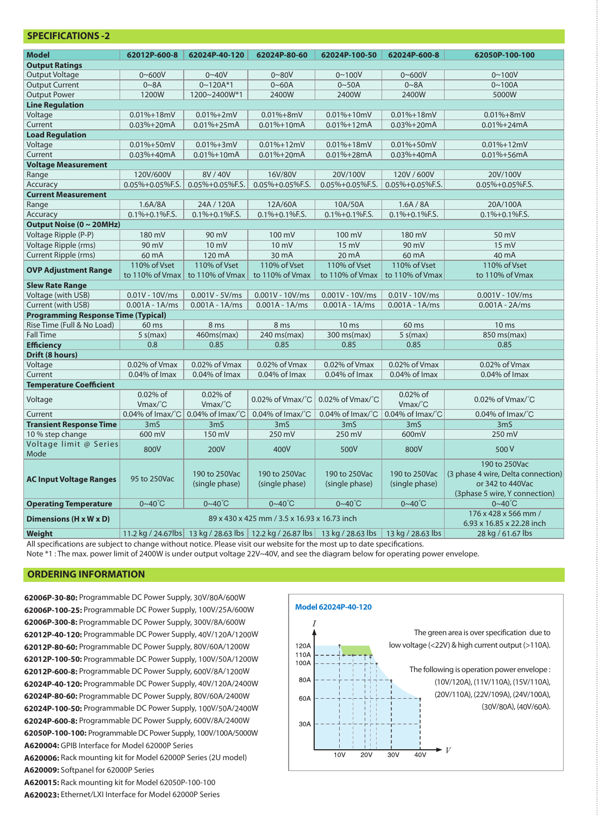| SPELIFILAHUNS -Z                           |                                              |                                 |                                                                            |                                 |                                    |                                                                                                          |
|--------------------------------------------|----------------------------------------------|---------------------------------|----------------------------------------------------------------------------|---------------------------------|------------------------------------|----------------------------------------------------------------------------------------------------------|
| <b>Model</b>                               | 62012P-600-8                                 | 62024P-40-120                   | 62024P-80-60                                                               | 62024P-100-50                   | 62024P-600-8                       | 62050P-100-100                                                                                           |
| <b>Output Ratings</b>                      |                                              |                                 |                                                                            |                                 |                                    |                                                                                                          |
| <b>Output Voltage</b>                      | $0 - 600V$                                   | $0 - 40V$                       | $0 - 80V$                                                                  | $0 - 100V$                      | $0 - 600V$                         | $0 - 100V$                                                                                               |
| <b>Output Current</b>                      | 0~8A                                         | $0 - 120A*1$                    | $0 - 60A$                                                                  | $0 - 50A$                       | 0~8A                               | $0 - 100A$                                                                                               |
| <b>Output Power</b>                        | 1200W                                        | 1200~2400W*1                    | 2400W                                                                      | 2400W                           | 2400W                              | 5000W                                                                                                    |
| <b>Line Regulation</b>                     |                                              |                                 |                                                                            |                                 |                                    |                                                                                                          |
| Voltage                                    | $0.01\% + 18mV$                              | $0.01\% + 2mV$                  | $0.01% + 8mV$                                                              | $0.01\% + 10mV$                 | $0.01\% + 18mV$                    | $0.01% + 8mV$                                                                                            |
| Current                                    | $0.03% + 20mA$                               | $0.01% + 25mA$                  | $0.01% + 10mA$                                                             | $0.01% + 12mA$                  | $0.03% + 20mA$                     | $0.01% + 24mA$                                                                                           |
| <b>Load Regulation</b>                     |                                              |                                 |                                                                            |                                 |                                    |                                                                                                          |
| Voltage                                    | $0.01\% + 50mV$                              | $0.01\% + 3mV$                  | $0.01\% + 12mV$                                                            | $0.01\% + 18mV$                 | $0.01\% + 50mV$                    | $0.01\% + 12mV$                                                                                          |
| Current                                    | $0.03% + 40mA$                               | $0.01% + 10mA$                  | $0.01% + 20mA$                                                             | $0.01% + 28mA$                  | $0.03% + 40mA$                     | $0.01\% + 56mA$                                                                                          |
| <b>Voltage Measurement</b>                 |                                              |                                 |                                                                            |                                 |                                    |                                                                                                          |
| Range                                      | 120V/600V                                    | 8V / 40V                        | 16V/80V                                                                    | 20V/100V                        | 120V / 600V                        | 20V/100V                                                                                                 |
| Accuracy                                   | 0.05%+0.05%F.S.                              | 0.05%+0.05%F.S.                 | 0.05%+0.05%F.S.                                                            | 0.05%+0.05%F.S.                 | 0.05%+0.05%F.S.                    | 0.05%+0.05%F.S.                                                                                          |
| <b>Current Measurement</b>                 |                                              |                                 |                                                                            |                                 |                                    |                                                                                                          |
| Range                                      | 1.6A/8A                                      | 24A / 120A                      | 12A/60A                                                                    | 10A/50A                         | 1.6A / 8A                          | 20A/100A                                                                                                 |
| Accuracy                                   | $0.1\% + 0.1\%$ F.S.                         | $0.1\% + 0.1\%$ F.S.            | $0.1\% + 0.1\%$ F.S.                                                       | $0.1\% + 0.1\%$ F.S.            | $0.1\% + 0.1\%$ F.S.               | $0.1\% + 0.1\%$ F.S.                                                                                     |
| Output Noise (0 ~ 20MHz)                   |                                              |                                 |                                                                            |                                 |                                    |                                                                                                          |
| Voltage Ripple (P-P)                       | 180 mV                                       | 90 mV                           | $100 \text{ mV}$                                                           | 100 mV                          | 180 mV                             | 50 mV                                                                                                    |
| Voltage Ripple (rms)                       | 90 mV                                        | 10 mV                           | $10 \text{ mV}$                                                            | $15 \text{ mV}$                 | 90 mV                              | 15 mV                                                                                                    |
| Current Ripple (rms)                       | 60 mA                                        | 120 mA                          | 30 mA                                                                      | 20 mA                           | 60 mA                              | 40 mA                                                                                                    |
|                                            | 110% of Vset                                 | 110% of Vset                    | 110% of Vset                                                               | 110% of Vset                    | 110% of Vset                       | 110% of Vset                                                                                             |
| <b>OVP Adjustment Range</b>                | to 110% of Vmax                              | to 110% of Vmax                 | to 110% of Vmax                                                            | to 110% of Vmax                 | to 110% of Vmax                    | to 110% of Vmax                                                                                          |
| <b>Slew Rate Range</b>                     |                                              |                                 |                                                                            |                                 |                                    |                                                                                                          |
| Voltage (with USB)                         | $0.01V - 10V/ms$                             | $0.001V - 5V/ms$                | $0.001V - 10V/ms$                                                          | $0.001V - 10V/ms$               | $0.01V - 10V/ms$                   | $0.001V - 10V/ms$                                                                                        |
| Current (with USB)                         | $0.001A - 1A/ms$                             | $0.001A - 1A/ms$                | $0.001A - 1A/ms$                                                           | $0.001A - 1A/ms$                | $0.001A - 1A/ms$                   | $0.001A - 2A/ms$                                                                                         |
| <b>Programming Response Time (Typical)</b> |                                              |                                 |                                                                            |                                 |                                    |                                                                                                          |
| Rise Time (Full & No Load)                 | 60 ms                                        | 8 ms                            | 8 ms                                                                       | 10 <sub>ms</sub>                | 60 ms                              | 10 <sub>ms</sub>                                                                                         |
| <b>Fall Time</b>                           | $5 \s(max)$                                  | 460ms(max)                      | 240 ms(max)                                                                | 300 ms(max)                     | $5 \text{ s(max)}$                 | 850 ms(max)                                                                                              |
| <b>Efficiency</b>                          | 0.8                                          | 0.85                            | 0.85                                                                       | 0.85                            | 0.85                               | 0.85                                                                                                     |
| Drift (8 hours)                            |                                              |                                 |                                                                            |                                 |                                    |                                                                                                          |
| Voltage                                    | 0.02% of Vmax                                | 0.02% of Vmax                   | 0.02% of Vmax                                                              | 0.02% of Vmax                   | 0.02% of Vmax                      | 0.02% of Vmax                                                                                            |
| Current                                    | $0.04\%$ of Imax                             | $0.04\%$ of Imax                | $0.04\%$ of Imax                                                           | $0.04\%$ of Imax                | $0.04\%$ of Imax                   | $0.04\%$ of Imax                                                                                         |
| <b>Temperature Coefficient</b>             |                                              |                                 |                                                                            |                                 |                                    |                                                                                                          |
| Voltage                                    | $0.02\%$ of                                  | $0.02\%$ of                     | $0.02\%$ of Vmax/ $^{\circ}$ C                                             | $0.02\%$ of Vmax/ $^{\circ}$ C  | $0.02\%$ of                        | $0.02\%$ of Vmax/ $^{\circ}$ C                                                                           |
|                                            | Vmax/C                                       | Vmax/C                          |                                                                            |                                 | $Vmax$ <sup><math>c</math></sup> C |                                                                                                          |
| Current                                    | $0.04\%$ of Imax/ $\degree$ C                | 0.04% of Imax/°C                | $0.04\%$ of Imax/ $^{\circ}$ C                                             | $0.04\%$ of Imax/ $\degree$ C   | $0.04\%$ of Imax/ $^{\circ}$ C     | $0.04\%$ of Imax/ $^{\circ}$ C                                                                           |
| <b>Transient Response Time</b>             | 3 <sub>m</sub>                               | 3 <sub>m</sub>                  | 3 <sub>m</sub>                                                             | 3 <sub>m</sub>                  | 3 <sub>m</sub>                     | 3 <sub>m</sub>                                                                                           |
| 10 % step change                           | 600 mV                                       | 150 mV                          | 250 mV                                                                     | 250 mV                          | 600mV                              | 250 mV                                                                                                   |
| Voltage limit @ Series<br>Mode             | 800V                                         | 200V                            | 400V                                                                       | 500V                            | 800V                               | 500V                                                                                                     |
| <b>AC Input Voltage Ranges</b>             | 95 to 250Vac                                 | 190 to 250Vac<br>(single phase) | 190 to 250Vac<br>(single phase)                                            | 190 to 250Vac<br>(single phase) | 190 to 250Vac<br>(single phase)    | 190 to 250Vac<br>(3 phase 4 wire, Delta connection)<br>or 342 to 440Vac<br>(3phase 5 wire, Y connection) |
| <b>Operating Temperature</b>               | $0 - 40^{\circ}$ C                           | $0 - 40^{\circ}C$               | $0 - 40^{\circ}$ C                                                         | $0 - 40^{\circ}C$               | $0 - 40^{\circ}C$                  | $0 - 40^{\circ}C$                                                                                        |
| Dimensions (H x W x D)                     | 89 x 430 x 425 mm / 3.5 x 16.93 x 16.73 inch |                                 |                                                                            |                                 | 176 x 428 x 566 mm /               |                                                                                                          |
|                                            |                                              |                                 |                                                                            |                                 |                                    | 6.93 x 16.85 x 22.28 inch                                                                                |
| Weight                                     |                                              |                                 | 11.2 kg / 24.67lbs 13 kg / 28.63 lbs 12.2 kg / 26.87 lbs 13 kg / 28.63 lbs |                                 | 13 kg / 28.63 lbs                  | 28 kg / 61.67 lbs                                                                                        |

All specifications are subject to change without notice. Please visit our website for the most up to date specifications.

Note \*1 : The max. power limit of 2400W is under output voltage 22V~40V, and see the diagram below for operating power envelope.

### **ORDERING INFORMATION**

**SPECIFICATIONS -2**

**62006P-30-80:** Programmable DC Power Supply, 30V/80A/600W **62006P-100-25:** Programmable DC Power Supply, 100V/25A/600W **62006P-300-8:** Programmable DC Power Supply, 300V/8A/600W **62012P-40-120:** Programmable DC Power Supply, 40V/120A/1200W **62012P-80-60:** Programmable DC Power Supply, 80V/60A/1200W **62012P-100-50:** Programmable DC Power Supply, 100V/50A/1200W **62012P-600-8:** Programmable DC Power Supply, 600V/8A/1200W **62024P-40-120:** Programmable DC Power Supply, 40V/120A/2400W **62024P-80-60:** Programmable DC Power Supply, 80V/60A/2400W **62024P-100-50:** Programmable DC Power Supply, 100V/50A/2400W **62024P-600-8:** Programmable DC Power Supply, 600V/8A/2400W **62050P-100-100:** ProgrammableDC Power Supply, 100V/100A/5000W **A620004:** GPIB Interface for Model 62000P Series **A620006:** Rack mounting kit for Model 62000P Series (2U model) **A620009:** Softpanel for 62000P Series **A620015:** Rack mounting kit for Model 62050P-100-100 **A620023:** Ethernet/LXI Interface for Model 62000P Series

#### **Model 62024P-40-120**